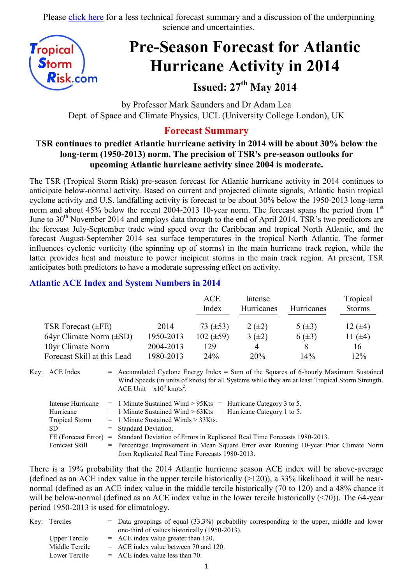Please [click here](http://www.tropicalstormrisk.com/docs/TSRATLForecast27May2014.pdf) for a less technical forecast summary and a discussion of the underpinning science and uncertainties.



# **Pre-Season Forecast for Atlantic Hurricane Activity in 2014**

# **Issued: 27th May 2014**

by Professor Mark Saunders and Dr Adam Lea Dept. of Space and Climate Physics, UCL (University College London), UK

#### **Forecast Summary**

#### **TSR continues to predict Atlantic hurricane activity in 2014 will be about 30% below the long-term (1950-2013) norm. The precision of TSR's pre-season outlooks for upcoming Atlantic hurricane activity since 2004 is moderate.**

The TSR (Tropical Storm Risk) pre-season forecast for Atlantic hurricane activity in 2014 continues to anticipate below-normal activity. Based on current and projected climate signals, Atlantic basin tropical cyclone activity and U.S. landfalling activity is forecast to be about 30% below the 1950-2013 long-term norm and about 45% below the recent 2004-2013 10-year norm. The forecast spans the period from 1<sup>st</sup> June to  $30<sup>th</sup>$  November 2014 and employs data through to the end of April 2014. TSR's two predictors are the forecast July-September trade wind speed over the Caribbean and tropical North Atlantic, and the forecast August-September 2014 sea surface temperatures in the tropical North Atlantic. The former influences cyclonic vorticity (the spinning up of storms) in the main hurricane track region, while the latter provides heat and moisture to power incipient storms in the main track region. At present, TSR anticipates both predictors to have a moderate supressing effect on activity.

#### **Atlantic ACE Index and System Numbers in 2014**

|                              |           | ACE<br>Index   | Intense<br><b>Hurricanes</b> | <b>Hurricanes</b> | Tropical<br><b>Storms</b> |
|------------------------------|-----------|----------------|------------------------------|-------------------|---------------------------|
| TSR Forecast $(\pm FE)$      | 2014      | 73 $(\pm 53)$  | $2 (+2)$                     | 5 $(\pm 3)$       | 12 $(\pm 4)$              |
| 64yr Climate Norm $(\pm SD)$ | 1950-2013 | $102 (\pm 59)$ | $3(\pm 2)$                   | $6(\pm 3)$        | 11 $(±4)$                 |
| 10yr Climate Norm            | 2004-2013 | 129            | $\overline{4}$               |                   | 16                        |
| Forecast Skill at this Lead  | 1980-2013 | 24%            | 20%                          | 14%               | 12%                       |

Key: ACE Index =  $\Delta$ ccumulated Cyclone Energy Index = Sum of the Squares of 6-hourly Maximum Sustained Wind Speeds (in units of knots) for all Systems while they are at least Tropical Storm Strength. ACE Unit =  $x10^4$  knots<sup>2</sup>.

| Intense Hurricane     | $=$ 1 Minute Sustained Wind > 95Kts $=$ Hurricane Category 3 to 5.                    |
|-----------------------|---------------------------------------------------------------------------------------|
| Hurricane             | $=$ 1 Minute Sustained Wind > 63Kts $=$ Hurricane Category 1 to 5.                    |
| <b>Tropical Storm</b> | $=$ 1 Minute Sustained Winds $>$ 33Kts.                                               |
| SD.                   | $=$ Standard Deviation.                                                               |
| FE (Forecast Error)   | = Standard Deviation of Errors in Replicated Real Time Forecasts 1980-2013.           |
| Forecast Skill        | = Percentage Improvement in Mean Square Error over Running 10-year Prior Climate Norm |
|                       | from Replicated Real Time Forecasts 1980-2013.                                        |

There is a 19% probability that the 2014 Atlantic hurricane season ACE index will be above-average (defined as an ACE index value in the upper tercile historically  $(>120)$ ), a 33% likelihood it will be nearnormal (defined as an ACE index value in the middle tercile historically (70 to 120) and a 48% chance it will be below-normal (defined as an ACE index value in the lower tercile historically (<70)). The 64-year period 1950-2013 is used for climatology.

| Key: Terciles        | $=$ Data groupings of equal (33.3%) probability corresponding to the upper, middle and lower |
|----------------------|----------------------------------------------------------------------------------------------|
|                      | one-third of values historically (1950-2013).                                                |
| <b>Upper Tercile</b> | $=$ ACE index value greater than 120.                                                        |
| Middle Tercile       | $=$ ACE index value between 70 and 120.                                                      |
| Lower Tercile        | $=$ ACE index value less than 70.                                                            |
|                      |                                                                                              |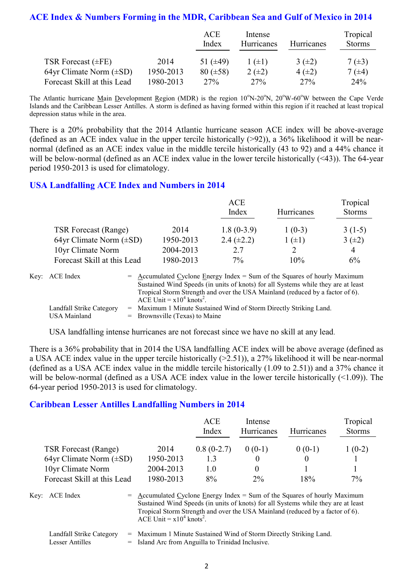#### **ACE Index & Numbers Forming in the MDR, Caribbean Sea and Gulf of Mexico in 2014**

|                              |           | ACE<br>Index    | Intense<br>Hurricanes | <b>Hurricanes</b> | Tropical<br><b>Storms</b> |
|------------------------------|-----------|-----------------|-----------------------|-------------------|---------------------------|
| TSR Forecast $(\pm FE)$      | 2014      | 51 $(\pm 49)$   | $1(\pm 1)$            | $3(\pm 2)$        | $7(\pm 3)$                |
| 64yr Climate Norm $(\pm SD)$ | 1950-2013 | $80 (\pm 58)$   | $2(\pm 2)$            | $4(\pm 2)$        | $7(\pm 4)$                |
| Forecast Skill at this Lead  | 1980-2013 | 27 <sup>%</sup> | 27%                   | 27%               | 24%                       |

The Atlantic hurricane Main Development Region (MDR) is the region 10°N-20°N, 20°W-60°W between the Cape Verde Islands and the Caribbean Lesser Antilles. A storm is defined as having formed within this region if it reached at least tropical depression status while in the area.

There is a 20% probability that the 2014 Atlantic hurricane season ACE index will be above-average (defined as an ACE index value in the upper tercile historically  $(>92)$ ), a 36% likelihood it will be nearnormal (defined as an ACE index value in the middle tercile historically (43 to 92) and a 44% chance it will be below-normal (defined as an ACE index value in the lower tercile historically (<43)). The 64-year period 1950-2013 is used for climatology.

#### **USA Landfalling ACE Index and Numbers in 2014**

|                              |           | ACE<br>Index    | <b>Hurricanes</b> | Tropical<br><b>Storms</b> |
|------------------------------|-----------|-----------------|-------------------|---------------------------|
| <b>TSR Forecast (Range)</b>  | 2014      | $1.8(0-3.9)$    | $1(0-3)$          | $3(1-5)$                  |
| 64yr Climate Norm $(\pm SD)$ | 1950-2013 | 2.4 $(\pm 2.2)$ | $1 (+1)$          | $3(\pm 2)$                |
| 10yr Climate Norm            | 2004-2013 | 2.7             |                   | 4                         |
| Forecast Skill at this Lead  | 1980-2013 | 7%              | 10%               | 6%                        |

| Key: ACE Index                                  | $=$ Accumulated Cyclone Energy Index $=$ Sum of the Squares of hourly Maximum<br>Sustained Wind Speeds (in units of knots) for all Systems while they are at least<br>Tropical Storm Strength and over the USA Mainland (reduced by a factor of 6).<br>ACE Unit = $x10^4$ knots <sup>2</sup> . |
|-------------------------------------------------|------------------------------------------------------------------------------------------------------------------------------------------------------------------------------------------------------------------------------------------------------------------------------------------------|
| Landfall Strike Category<br><b>USA Mainland</b> | = Maximum 1 Minute Sustained Wind of Storm Directly Striking Land.<br>$=$ Brownsville (Texas) to Maine                                                                                                                                                                                         |

USA landfalling intense hurricanes are not forecast since we have no skill at any lead.

There is a 36% probability that in 2014 the USA landfalling ACE index will be above average (defined as a USA ACE index value in the upper tercile historically (>2.51)), a 27% likelihood it will be near-normal (defined as a USA ACE index value in the middle tercile historically (1.09 to 2.51)) and a 37% chance it will be below-normal (defined as a USA ACE index value in the lower tercile historically (<1.09)). The 64-year period 1950-2013 is used for climatology.

#### **Caribbean Lesser Antilles Landfalling Numbers in 2014**

|                              |           | <b>ACE</b><br>Index | Intense<br>Hurricanes | Hurricanes | Tropical<br><b>Storms</b> |
|------------------------------|-----------|---------------------|-----------------------|------------|---------------------------|
| <b>TSR Forecast (Range)</b>  | 2014      | $0.8(0-2.7)$        | $0(0-1)$              | $0(0-1)$   | $1(0-2)$                  |
| 64yr Climate Norm $(\pm SD)$ | 1950-2013 | 13                  |                       |            |                           |
| 10yr Climate Norm            | 2004-2013 | 1.0                 |                       |            |                           |
| Forecast Skill at this Lead  | 1980-2013 | 8%                  | $2\%$                 | 18%        | $7\%$                     |

Key: ACE Index  $=$  Accumulated Cyclone Energy Index = Sum of the Squares of hourly Maximum Sustained Wind Speeds (in units of knots) for all Systems while they are at least Tropical Storm Strength and over the USA Mainland (reduced by a factor of 6). ACE Unit =  $x10^4$  knots<sup>2</sup>.

Landfall Strike Category = Maximum 1 Minute Sustained Wind of Storm Directly Striking Land. Lesser Antilles = Island Arc from Anguilla to Trinidad Inclusive.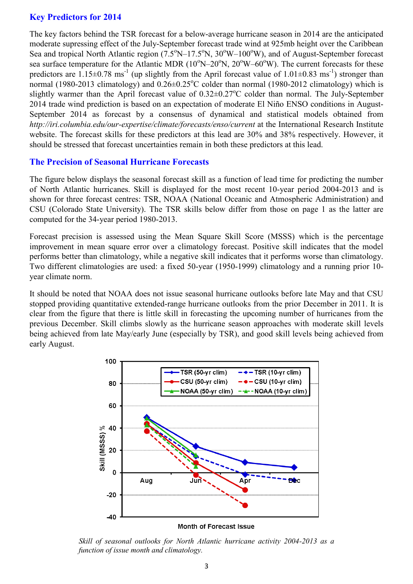#### **Key Predictors for 2014**

The key factors behind the TSR forecast for a below-average hurricane season in 2014 are the anticipated moderate supressing effect of the July-September forecast trade wind at 925mb height over the Caribbean Sea and tropical North Atlantic region  $(7.5^{\circ}N-17.5^{\circ}N, 30^{\circ}W-100^{\circ}W)$ , and of August-September forecast sea surface temperature for the Atlantic MDR  $(10^{\circ}N-20^{\circ}N, 20^{\circ}W-60^{\circ}W)$ . The current forecasts for these predictors are  $1.15 \pm 0.78$  ms<sup>-1</sup> (up slightly from the April forecast value of  $1.01 \pm 0.83$  ms<sup>-1</sup>) stronger than normal (1980-2013 climatology) and  $0.26\pm0.25^{\circ}$ C colder than normal (1980-2012 climatology) which is slightly warmer than the April forecast value of  $0.32 \pm 0.27^{\circ}$ C colder than normal. The July-September 2014 trade wind prediction is based on an expectation of moderate El Niño ENSO conditions in August-September 2014 as forecast by a consensus of dynamical and statistical models obtained from *http://iri.columbia.edu/our-expertise/climate/forecasts/enso/current* at the International Research Institute website. The forecast skills for these predictors at this lead are 30% and 38% respectively. However, it should be stressed that forecast uncertainties remain in both these predictors at this lead.

#### **The Precision of Seasonal Hurricane Forecasts**

The figure below displays the seasonal forecast skill as a function of lead time for predicting the number of North Atlantic hurricanes. Skill is displayed for the most recent 10-year period 2004-2013 and is shown for three forecast centres: TSR, NOAA (National Oceanic and Atmospheric Administration) and CSU (Colorado State University). The TSR skills below differ from those on page 1 as the latter are computed for the 34-year period 1980-2013.

Forecast precision is assessed using the Mean Square Skill Score (MSSS) which is the percentage improvement in mean square error over a climatology forecast. Positive skill indicates that the model performs better than climatology, while a negative skill indicates that it performs worse than climatology. Two different climatologies are used: a fixed 50-year (1950-1999) climatology and a running prior 10 year climate norm.

It should be noted that NOAA does not issue seasonal hurricane outlooks before late May and that CSU stopped providing quantitative extended-range hurricane outlooks from the prior December in 2011. It is clear from the figure that there is little skill in forecasting the upcoming number of hurricanes from the previous December. Skill climbs slowly as the hurricane season approaches with moderate skill levels being achieved from late May/early June (especially by TSR), and good skill levels being achieved from early August.



Month of Forecast Issue

*Skill of seasonal outlooks for North Atlantic hurricane activity 2004-2013 as a function of issue month and climatology.*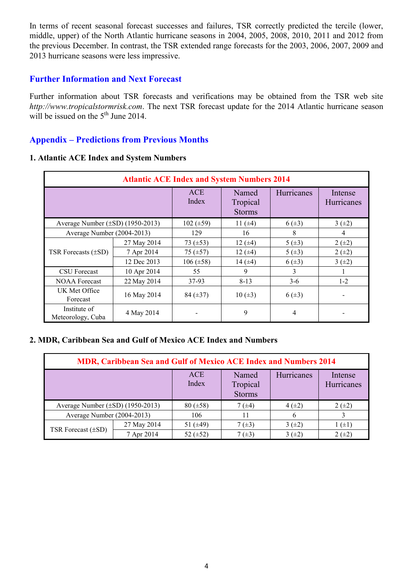In terms of recent seasonal forecast successes and failures, TSR correctly predicted the tercile (lower, middle, upper) of the North Atlantic hurricane seasons in 2004, 2005, 2008, 2010, 2011 and 2012 from the previous December. In contrast, the TSR extended range forecasts for the 2003, 2006, 2007, 2009 and 2013 hurricane seasons were less impressive.

#### **Further Information and Next Forecast**

Further information about TSR forecasts and verifications may be obtained from the TSR web site *http://www.tropicalstormrisk.com*. The next TSR forecast update for the 2014 Atlantic hurricane season will be issued on the  $5<sup>th</sup>$  June 2014.

#### **Appendix – Predictions from Previous Months**

#### **1. Atlantic ACE Index and System Numbers**

| <b>Atlantic ACE Index and System Numbers 2014</b> |             |                     |                                    |            |                       |  |  |
|---------------------------------------------------|-------------|---------------------|------------------------------------|------------|-----------------------|--|--|
|                                                   |             | <b>ACE</b><br>Index | Named<br>Tropical<br><b>Storms</b> | Hurricanes | Intense<br>Hurricanes |  |  |
| Average Number $(\pm SD)$ (1950-2013)             |             | $102 (\pm 59)$      | 11 $(±4)$                          | $6(\pm 3)$ | 3(.2)                 |  |  |
| Average Number (2004-2013)                        |             | 129                 | 16                                 | 8          | 4                     |  |  |
|                                                   | 27 May 2014 | 73 $(\pm 53)$       | 12 $(±4)$                          | $5(\pm 3)$ | $2 (+2)$              |  |  |
| TSR Forecasts $(\pm SD)$                          | 7 Apr 2014  | 75 $(\pm 57)$       | 12 $(±4)$                          | 5(.43)     | $2 (+2)$              |  |  |
|                                                   | 12 Dec 2013 | $106 (\pm 58)$      | 14 $(±4)$                          | $6(\pm 3)$ | 3(.2)                 |  |  |
| <b>CSU</b> Forecast                               | 10 Apr 2014 | 55                  | 9                                  | 3          |                       |  |  |
| <b>NOAA Forecast</b>                              | 22 May 2014 | 37-93               | $8 - 13$                           | $3-6$      | $1-2$                 |  |  |
| UK Met Office<br>Forecast                         | 16 May 2014 | 84 $(\pm 37)$       | $10 (\pm 3)$                       | $6(\pm 3)$ |                       |  |  |
| Institute of<br>Meteorology, Cuba                 | 4 May 2014  |                     | 9                                  | 4          |                       |  |  |

#### **2. MDR, Caribbean Sea and Gulf of Mexico ACE Index and Numbers**

| MDR, Caribbean Sea and Gulf of Mexico ACE Index and Numbers 2014 |             |                     |                                    |            |                       |  |  |
|------------------------------------------------------------------|-------------|---------------------|------------------------------------|------------|-----------------------|--|--|
|                                                                  |             | <b>ACE</b><br>Index | Named<br>Tropical<br><b>Storms</b> | Hurricanes | Intense<br>Hurricanes |  |  |
| Average Number $(\pm SD)$ (1950-2013)                            |             | $80 (\pm 58)$       | 7 $(\pm 4)$                        | $4(\pm 2)$ | $2 (+2)$              |  |  |
| Average Number (2004-2013)                                       |             | 106                 | 11                                 | 6          |                       |  |  |
| TSR Forecast $(\pm SD)$                                          | 27 May 2014 | 51 $(\pm 49)$       | $7(\pm 3)$                         | 3(±2)      | $(\pm 1)$             |  |  |
|                                                                  | 7 Apr 2014  | 52 $(\pm 52)$       | $7(\pm 3)$                         | 3(±2)      | $2 (+2)$              |  |  |